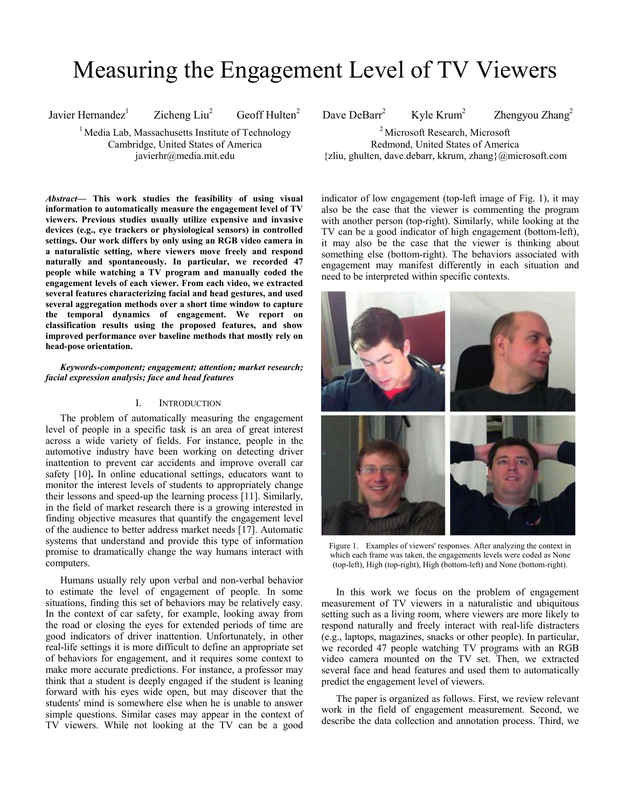# Measuring the Engagement Level of TV Viewers

<sup>1</sup> Media Lab, Massachusetts Institute of Technology Cambridge, United States of America javierhr@media.mit.edu

*Abstract***— This work studies the feasibility of using visual information to automatically measure the engagement level of TV viewers. Previous studies usually utilize expensive and invasive devices (e.g., eye trackers or physiological sensors) in controlled settings. Our work differs by only using an RGB video camera in a naturalistic setting, where viewers move freely and respond naturally and spontaneously. In particular, we recorded 47 people while watching a TV program and manually coded the engagement levels of each viewer. From each video, we extracted several features characterizing facial and head gestures, and used several aggregation methods over a short time window to capture the temporal dynamics of engagement. We report on classification results using the proposed features, and show improved performance over baseline methods that mostly rely on head-pose orientation.** 

*Keywords-component; engagement; attention; market research; facial expression analysis; face and head features* 

# I. INTRODUCTION

The problem of automatically measuring the engagement level of people in a specific task is an area of great interest across a wide variety of fields. For instance, people in the automotive industry have been working on detecting driver inattention to prevent car accidents and improve overall car safety [10]**.** In online educational settings, educators want to monitor the interest levels of students to appropriately change their lessons and speed-up the learning process [11]. Similarly, in the field of market research there is a growing interested in finding objective measures that quantify the engagement level of the audience to better address market needs [17]. Automatic systems that understand and provide this type of information promise to dramatically change the way humans interact with computers.

Humans usually rely upon verbal and non-verbal behavior to estimate the level of engagement of people. In some situations, finding this set of behaviors may be relatively easy. In the context of car safety, for example, looking away from the road or closing the eyes for extended periods of time are good indicators of driver inattention. Unfortunately, in other real-life settings it is more difficult to define an appropriate set of behaviors for engagement, and it requires some context to make more accurate predictions. For instance, a professor may think that a student is deeply engaged if the student is leaning forward with his eyes wide open, but may discover that the students' mind is somewhere else when he is unable to answer simple questions. Similar cases may appear in the context of TV viewers. While not looking at the TV can be a good

Javier Hernandez<sup>1</sup> Zicheng Liu<sup>2</sup> Geoff Hulten<sup>2</sup> Dave DeBarr<sup>2</sup> Kyle Krum<sup>2</sup> Zhengyou Zhang<sup>2</sup>

2 Microsoft Research, Microsoft Redmond, United States of America {zliu, ghulten, dave.debarr, kkrum, zhang}@microsoft.com

indicator of low engagement (top-left image of Fig. 1), it may also be the case that the viewer is commenting the program with another person (top-right). Similarly, while looking at the TV can be a good indicator of high engagement (bottom-left), it may also be the case that the viewer is thinking about something else (bottom-right). The behaviors associated with engagement may manifest differently in each situation and need to be interpreted within specific contexts.



Figure 1. Examples of viewers' responses. After analyzing the context in which each frame was taken, the engagements levels were coded as None (top-left), High (top-right), High (bottom-left) and None (bottom-right).

In this work we focus on the problem of engagement measurement of TV viewers in a naturalistic and ubiquitous setting such as a living room, where viewers are more likely to respond naturally and freely interact with real-life distracters (e.g., laptops, magazines, snacks or other people). In particular, we recorded 47 people watching TV programs with an RGB video camera mounted on the TV set. Then, we extracted several face and head features and used them to automatically predict the engagement level of viewers.

The paper is organized as follows. First, we review relevant work in the field of engagement measurement. Second, we describe the data collection and annotation process. Third, we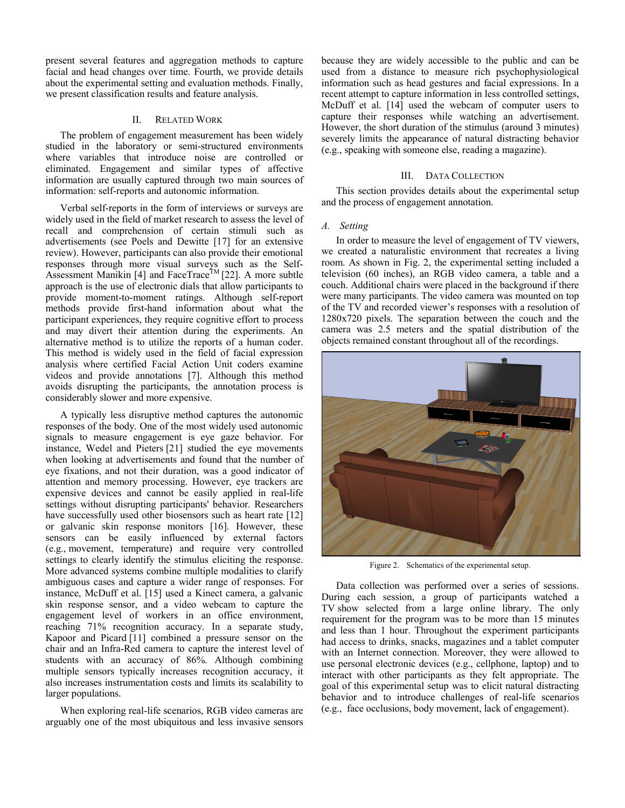present several features and aggregation methods to capture facial and head changes over time. Fourth, we provide details about the experimental setting and evaluation methods. Finally, we present classification results and feature analysis.

## II. RELATED WORK

The problem of engagement measurement has been widely studied in the laboratory or semi-structured environments where variables that introduce noise are controlled or eliminated. Engagement and similar types of affective information are usually captured through two main sources of information: self-reports and autonomic information.

Verbal self-reports in the form of interviews or surveys are widely used in the field of market research to assess the level of recall and comprehension of certain stimuli such as advertisements (see Poels and Dewitte [17] for an extensive review). However, participants can also provide their emotional responses through more visual surveys such as the Self-Assessment Manikin [4] and FaceTrace<sup>TM</sup> [22]. A more subtle approach is the use of electronic dials that allow participants to provide moment-to-moment ratings. Although self-report methods provide first-hand information about what the participant experiences, they require cognitive effort to process and may divert their attention during the experiments. An alternative method is to utilize the reports of a human coder. This method is widely used in the field of facial expression analysis where certified Facial Action Unit coders examine videos and provide annotations [7]. Although this method avoids disrupting the participants, the annotation process is considerably slower and more expensive.

A typically less disruptive method captures the autonomic responses of the body. One of the most widely used autonomic signals to measure engagement is eye gaze behavior. For instance, Wedel and Pieters [21] studied the eye movements when looking at advertisements and found that the number of eye fixations, and not their duration, was a good indicator of attention and memory processing. However, eye trackers are expensive devices and cannot be easily applied in real-life settings without disrupting participants' behavior. Researchers have successfully used other biosensors such as heart rate [12] or galvanic skin response monitors [16]. However, these sensors can be easily influenced by external factors (e.g., movement, temperature) and require very controlled settings to clearly identify the stimulus eliciting the response. More advanced systems combine multiple modalities to clarify ambiguous cases and capture a wider range of responses. For instance, McDuff et al. [15] used a Kinect camera, a galvanic skin response sensor, and a video webcam to capture the engagement level of workers in an office environment, reaching 71% recognition accuracy. In a separate study, Kapoor and Picard [11] combined a pressure sensor on the chair and an Infra-Red camera to capture the interest level of students with an accuracy of 86%. Although combining multiple sensors typically increases recognition accuracy, it also increases instrumentation costs and limits its scalability to larger populations.

When exploring real-life scenarios, RGB video cameras are arguably one of the most ubiquitous and less invasive sensors

because they are widely accessible to the public and can be used from a distance to measure rich psychophysiological information such as head gestures and facial expressions. In a recent attempt to capture information in less controlled settings, McDuff et al. [14] used the webcam of computer users to capture their responses while watching an advertisement. However, the short duration of the stimulus (around 3 minutes) severely limits the appearance of natural distracting behavior (e.g., speaking with someone else, reading a magazine).

# III. DATA COLLECTION

This section provides details about the experimental setup and the process of engagement annotation.

## *A. Setting*

In order to measure the level of engagement of TV viewers, we created a naturalistic environment that recreates a living room. As shown in Fig. 2, the experimental setting included a television (60 inches), an RGB video camera, a table and a couch. Additional chairs were placed in the background if there were many participants. The video camera was mounted on top of the TV and recorded viewer's responses with a resolution of 1280x720 pixels. The separation between the couch and the camera was 2.5 meters and the spatial distribution of the objects remained constant throughout all of the recordings.



Figure 2. Schematics of the experimental setup.

Data collection was performed over a series of sessions. During each session, a group of participants watched a TV show selected from a large online library. The only requirement for the program was to be more than 15 minutes and less than 1 hour. Throughout the experiment participants had access to drinks, snacks, magazines and a tablet computer with an Internet connection. Moreover, they were allowed to use personal electronic devices (e.g., cellphone, laptop) and to interact with other participants as they felt appropriate. The goal of this experimental setup was to elicit natural distracting behavior and to introduce challenges of real-life scenarios (e.g., face occlusions, body movement, lack of engagement).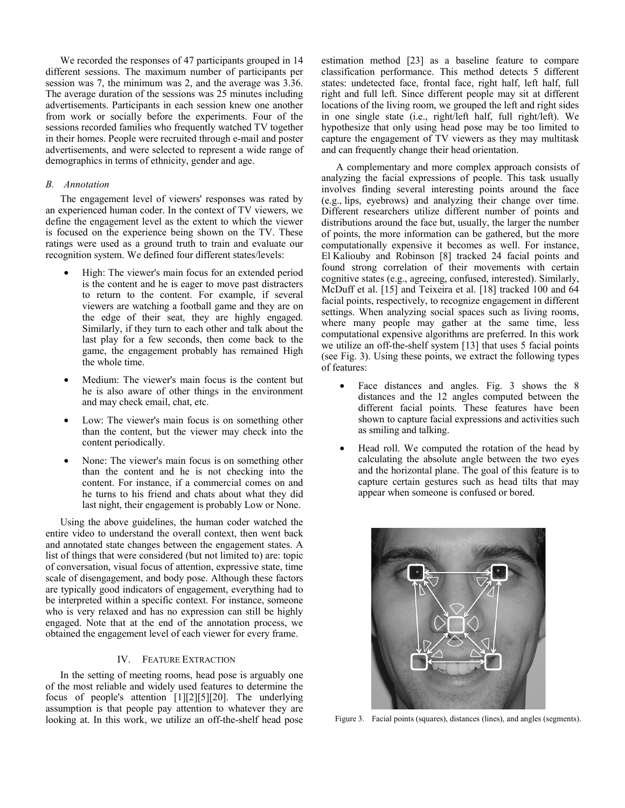We recorded the responses of 47 participants grouped in 14 different sessions. The maximum number of participants per session was 7, the minimum was 2, and the average was 3.36. The average duration of the sessions was 25 minutes including advertisements. Participants in each session knew one another from work or socially before the experiments. Four of the sessions recorded families who frequently watched TV together in their homes. People were recruited through e-mail and poster advertisements, and were selected to represent a wide range of demographics in terms of ethnicity, gender and age.

## *B. Annotation*

The engagement level of viewers' responses was rated by an experienced human coder. In the context of TV viewers, we define the engagement level as the extent to which the viewer is focused on the experience being shown on the TV. These ratings were used as a ground truth to train and evaluate our recognition system. We defined four different states/levels:

- High: The viewer's main focus for an extended period is the content and he is eager to move past distracters to return to the content. For example, if several viewers are watching a football game and they are on the edge of their seat, they are highly engaged. Similarly, if they turn to each other and talk about the last play for a few seconds, then come back to the game, the engagement probably has remained High the whole time.
- Medium: The viewer's main focus is the content but he is also aware of other things in the environment and may check email, chat, etc.
- Low: The viewer's main focus is on something other than the content, but the viewer may check into the content periodically.
- None: The viewer's main focus is on something other than the content and he is not checking into the content. For instance, if a commercial comes on and he turns to his friend and chats about what they did last night, their engagement is probably Low or None.

Using the above guidelines, the human coder watched the entire video to understand the overall context, then went back and annotated state changes between the engagement states. A list of things that were considered (but not limited to) are: topic of conversation, visual focus of attention, expressive state, time scale of disengagement, and body pose. Although these factors are typically good indicators of engagement, everything had to be interpreted within a specific context. For instance, someone who is very relaxed and has no expression can still be highly engaged. Note that at the end of the annotation process, we obtained the engagement level of each viewer for every frame.

# IV. FEATURE EXTRACTION

In the setting of meeting rooms, head pose is arguably one of the most reliable and widely used features to determine the focus of people's attention [1][2][5][20]. The underlying assumption is that people pay attention to whatever they are looking at. In this work, we utilize an off-the-shelf head pose

estimation method [23] as a baseline feature to compare classification performance. This method detects 5 different states: undetected face, frontal face, right half, left half, full right and full left. Since different people may sit at different locations of the living room, we grouped the left and right sides in one single state (i.e., right/left half, full right/left). We hypothesize that only using head pose may be too limited to capture the engagement of TV viewers as they may multitask and can frequently change their head orientation.

A complementary and more complex approach consists of analyzing the facial expressions of people. This task usually involves finding several interesting points around the face (e.g., lips, eyebrows) and analyzing their change over time. Different researchers utilize different number of points and distributions around the face but, usually, the larger the number of points, the more information can be gathered, but the more computationally expensive it becomes as well. For instance, El Kaliouby and Robinson [8] tracked 24 facial points and found strong correlation of their movements with certain cognitive states (e.g., agreeing, confused, interested). Similarly, McDuff et al. [15] and Teixeira et al. [18] tracked 100 and 64 facial points, respectively, to recognize engagement in different settings. When analyzing social spaces such as living rooms, where many people may gather at the same time, less computational expensive algorithms are preferred. In this work we utilize an off-the-shelf system [13] that uses 5 facial points (see Fig. 3). Using these points, we extract the following types of features:

- Face distances and angles. Fig. 3 shows the 8 distances and the 12 angles computed between the different facial points. These features have been shown to capture facial expressions and activities such as smiling and talking.
- Head roll. We computed the rotation of the head by calculating the absolute angle between the two eyes and the horizontal plane. The goal of this feature is to capture certain gestures such as head tilts that may appear when someone is confused or bored.



Figure 3. Facial points (squares), distances (lines), and angles (segments).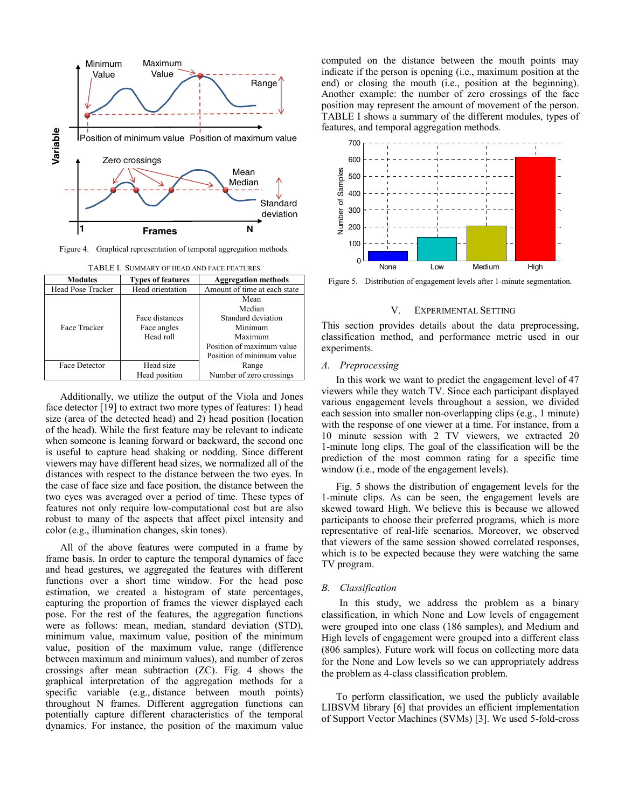

Figure 4. Graphical representation of temporal aggregation methods.

|  |  |  | TABLE I. SUMMARY OF HEAD AND FACE FEATURES |
|--|--|--|--------------------------------------------|
|--|--|--|--------------------------------------------|

| <b>Modules</b>    | <b>Types of features</b> | <b>Aggregation methods</b>   |  |  |  |
|-------------------|--------------------------|------------------------------|--|--|--|
| Head Pose Tracker | Head orientation         | Amount of time at each state |  |  |  |
|                   |                          | Mean                         |  |  |  |
|                   |                          | Median                       |  |  |  |
|                   | Face distances           | Standard deviation           |  |  |  |
| Face Tracker      | Face angles              | Minimum                      |  |  |  |
|                   | Head roll                | Maximum                      |  |  |  |
|                   |                          | Position of maximum value    |  |  |  |
|                   |                          | Position of minimum value    |  |  |  |
| Face Detector     | Head size                | Range                        |  |  |  |
|                   | Head position            | Number of zero crossings     |  |  |  |

Additionally, we utilize the output of the Viola and Jones face detector [19] to extract two more types of features: 1) head size (area of the detected head) and 2) head position (location of the head). While the first feature may be relevant to indicate when someone is leaning forward or backward, the second one is useful to capture head shaking or nodding. Since different viewers may have different head sizes, we normalized all of the distances with respect to the distance between the two eyes. In the case of face size and face position, the distance between the two eyes was averaged over a period of time. These types of features not only require low-computational cost but are also robust to many of the aspects that affect pixel intensity and color (e.g., illumination changes, skin tones).

All of the above features were computed in a frame by frame basis. In order to capture the temporal dynamics of face and head gestures, we aggregated the features with different functions over a short time window. For the head pose estimation, we created a histogram of state percentages, capturing the proportion of frames the viewer displayed each pose. For the rest of the features, the aggregation functions were as follows: mean, median, standard deviation (STD), minimum value, maximum value, position of the minimum value, position of the maximum value, range (difference between maximum and minimum values), and number of zeros crossings after mean subtraction (ZC). Fig. 4 shows the graphical interpretation of the aggregation methods for a specific variable (e.g., distance between mouth points) throughout N frames. Different aggregation functions can potentially capture different characteristics of the temporal dynamics. For instance, the position of the maximum value

computed on the distance between the mouth points may indicate if the person is opening (i.e., maximum position at the end) or closing the mouth (i.e., position at the beginning). Another example: the number of zero crossings of the face position may represent the amount of movement of the person. TABLE I shows a summary of the different modules, types of features, and temporal aggregation methods.



Figure 5. Distribution of engagement levels after 1-minute segmentation.

#### V. EXPERIMENTAL SETTING

This section provides details about the data preprocessing, classification method, and performance metric used in our experiments.

#### *A. Preprocessing*

In this work we want to predict the engagement level of 47 viewers while they watch TV. Since each participant displayed various engagement levels throughout a session, we divided each session into smaller non-overlapping clips (e.g., 1 minute) with the response of one viewer at a time. For instance, from a 10 minute session with 2 TV viewers, we extracted 20 1-minute long clips. The goal of the classification will be the prediction of the most common rating for a specific time window (i.e., mode of the engagement levels).

Fig. 5 shows the distribution of engagement levels for the 1-minute clips. As can be seen, the engagement levels are skewed toward High. We believe this is because we allowed participants to choose their preferred programs, which is more representative of real-life scenarios. Moreover, we observed that viewers of the same session showed correlated responses, which is to be expected because they were watching the same TV program.

#### *B. Classification*

 In this study, we address the problem as a binary classification, in which None and Low levels of engagement were grouped into one class (186 samples), and Medium and High levels of engagement were grouped into a different class (806 samples). Future work will focus on collecting more data for the None and Low levels so we can appropriately address the problem as 4-class classification problem.

To perform classification, we used the publicly available LIBSVM library [6] that provides an efficient implementation of Support Vector Machines (SVMs) [3]. We used 5-fold-cross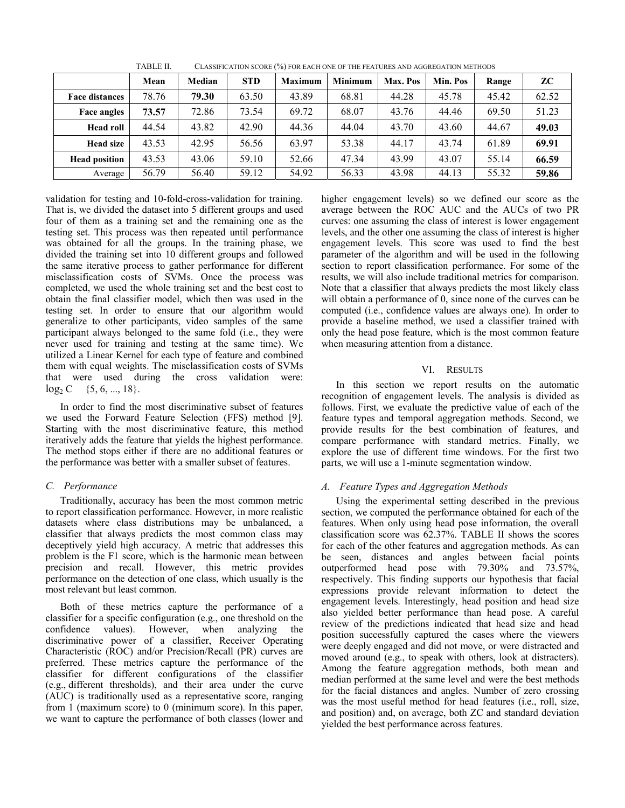|                       | Mean  | Median | <b>STD</b> | <b>Maximum</b> | <b>Minimum</b> | Max. Pos | Min. Pos | Range | ZC-   |
|-----------------------|-------|--------|------------|----------------|----------------|----------|----------|-------|-------|
| <b>Face distances</b> | 78.76 | 79.30  | 63.50      | 43.89          | 68.81          | 44.28    | 45.78    | 45.42 | 62.52 |
| <b>Face angles</b>    | 73.57 | 72.86  | 73.54      | 69.72          | 68.07          | 43.76    | 44.46    | 69.50 | 51.23 |
| <b>Head roll</b>      | 44.54 | 43.82  | 42.90      | 44.36          | 44.04          | 43.70    | 43.60    | 44.67 | 49.03 |
| <b>Head size</b>      | 43.53 | 42.95  | 56.56      | 63.97          | 53.38          | 44.17    | 43.74    | 61.89 | 69.91 |
| <b>Head position</b>  | 43.53 | 43.06  | 59.10      | 52.66          | 47.34          | 43.99    | 43.07    | 55.14 | 66.59 |
| Average               | 56.79 | 56.40  | 59.12      | 54.92          | 56.33          | 43.98    | 44.13    | 55.32 | 59.86 |

TABLE II. CLASSIFICATION SCORE (%) FOR EACH ONE OF THE FEATURES AND AGGREGATION METHODS

validation for testing and 10-fold-cross-validation for training. That is, we divided the dataset into 5 different groups and used four of them as a training set and the remaining one as the testing set. This process was then repeated until performance was obtained for all the groups. In the training phase, we divided the training set into 10 different groups and followed the same iterative process to gather performance for different misclassification costs of SVMs. Once the process was completed, we used the whole training set and the best cost to obtain the final classifier model, which then was used in the testing set. In order to ensure that our algorithm would generalize to other participants, video samples of the same participant always belonged to the same fold (i.e., they were never used for training and testing at the same time). We utilized a Linear Kernel for each type of feature and combined them with equal weights. The misclassification costs of SVMs that were used during the cross validation were:  $log_2 C$  {5, 6, ..., 18}.

In order to find the most discriminative subset of features we used the Forward Feature Selection (FFS) method [9]. Starting with the most discriminative feature, this method iteratively adds the feature that yields the highest performance. The method stops either if there are no additional features or the performance was better with a smaller subset of features.

# *C. Performance*

Traditionally, accuracy has been the most common metric to report classification performance. However, in more realistic datasets where class distributions may be unbalanced, a classifier that always predicts the most common class may deceptively yield high accuracy. A metric that addresses this problem is the F1 score, which is the harmonic mean between precision and recall. However, this metric provides performance on the detection of one class, which usually is the most relevant but least common.

Both of these metrics capture the performance of a classifier for a specific configuration (e.g., one threshold on the confidence values). However, when analyzing the discriminative power of a classifier, Receiver Operating Characteristic (ROC) and/or Precision/Recall (PR) curves are preferred. These metrics capture the performance of the classifier for different configurations of the classifier (e.g., different thresholds), and their area under the curve (AUC) is traditionally used as a representative score, ranging from 1 (maximum score) to 0 (minimum score). In this paper, we want to capture the performance of both classes (lower and

higher engagement levels) so we defined our score as the average between the ROC AUC and the AUCs of two PR curves: one assuming the class of interest is lower engagement levels, and the other one assuming the class of interest is higher engagement levels. This score was used to find the best parameter of the algorithm and will be used in the following section to report classification performance. For some of the results, we will also include traditional metrics for comparison. Note that a classifier that always predicts the most likely class will obtain a performance of 0, since none of the curves can be computed (i.e., confidence values are always one). In order to provide a baseline method, we used a classifier trained with only the head pose feature, which is the most common feature when measuring attention from a distance.

# VI. RESULTS

In this section we report results on the automatic recognition of engagement levels. The analysis is divided as follows. First, we evaluate the predictive value of each of the feature types and temporal aggregation methods. Second, we provide results for the best combination of features, and compare performance with standard metrics. Finally, we explore the use of different time windows. For the first two parts, we will use a 1-minute segmentation window.

# *A. Feature Types and Aggregation Methods*

Using the experimental setting described in the previous section, we computed the performance obtained for each of the features. When only using head pose information, the overall classification score was 62.37%. TABLE II shows the scores for each of the other features and aggregation methods. As can be seen, distances and angles between facial points outperformed head pose with 79.30% and 73.57%, respectively. This finding supports our hypothesis that facial expressions provide relevant information to detect the engagement levels. Interestingly, head position and head size also yielded better performance than head pose. A careful review of the predictions indicated that head size and head position successfully captured the cases where the viewers were deeply engaged and did not move, or were distracted and moved around (e.g., to speak with others, look at distracters). Among the feature aggregation methods, both mean and median performed at the same level and were the best methods for the facial distances and angles. Number of zero crossing was the most useful method for head features (i.e., roll, size, and position) and, on average, both ZC and standard deviation yielded the best performance across features.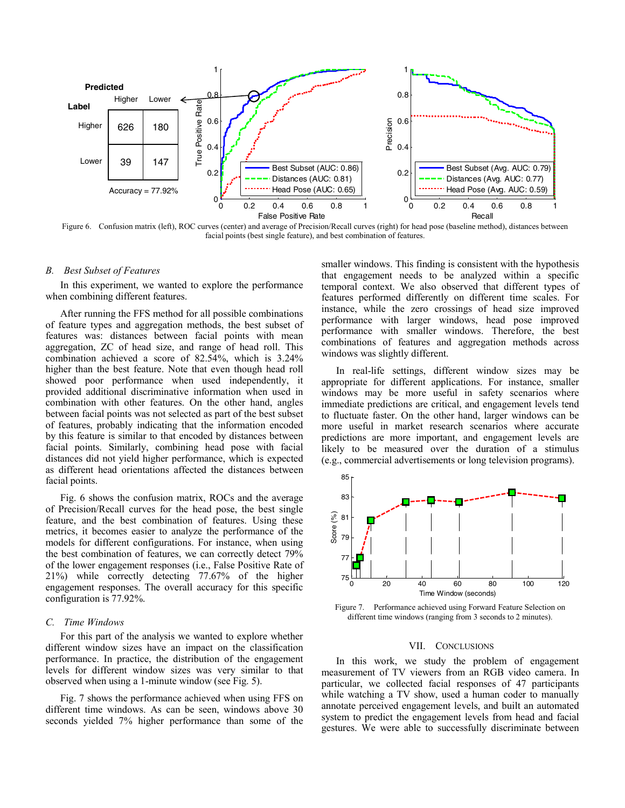

Figure 6. Confusion matrix (left), ROC curves (center) and average of Precision/Recall curves (right) for head pose (baseline method), distances between facial points (best single feature), and best combination of features.

#### *B. Best Subset of Features*

In this experiment, we wanted to explore the performance when combining different features.

After running the FFS method for all possible combinations of feature types and aggregation methods, the best subset of features was: distances between facial points with mean aggregation, ZC of head size, and range of head roll. This combination achieved a score of 82.54%, which is 3.24% higher than the best feature. Note that even though head roll showed poor performance when used independently, it provided additional discriminative information when used in combination with other features. On the other hand, angles between facial points was not selected as part of the best subset of features, probably indicating that the information encoded by this feature is similar to that encoded by distances between facial points. Similarly, combining head pose with facial distances did not yield higher performance, which is expected as different head orientations affected the distances between facial points.

Fig. 6 shows the confusion matrix, ROCs and the average of Precision/Recall curves for the head pose, the best single feature, and the best combination of features. Using these metrics, it becomes easier to analyze the performance of the models for different configurations. For instance, when using the best combination of features, we can correctly detect 79% of the lower engagement responses (i.e., False Positive Rate of 21%) while correctly detecting 77.67% of the higher engagement responses. The overall accuracy for this specific configuration is 77.92%.

## *C. Time Windows*

For this part of the analysis we wanted to explore whether different window sizes have an impact on the classification performance. In practice, the distribution of the engagement levels for different window sizes was very similar to that observed when using a 1-minute window (see Fig. 5).

Fig. 7 shows the performance achieved when using FFS on different time windows. As can be seen, windows above 30 seconds yielded 7% higher performance than some of the smaller windows. This finding is consistent with the hypothesis that engagement needs to be analyzed within a specific temporal context. We also observed that different types of features performed differently on different time scales. For instance, while the zero crossings of head size improved performance with larger windows, head pose improved performance with smaller windows. Therefore, the best combinations of features and aggregation methods across windows was slightly different.

In real-life settings, different window sizes may be appropriate for different applications. For instance, smaller windows may be more useful in safety scenarios where immediate predictions are critical, and engagement levels tend to fluctuate faster. On the other hand, larger windows can be more useful in market research scenarios where accurate predictions are more important, and engagement levels are likely to be measured over the duration of a stimulus (e.g., commercial advertisements or long television programs).



Figure 7. Performance achieved using Forward Feature Selection on different time windows (ranging from 3 seconds to 2 minutes).

#### VII. CONCLUSIONS

In this work, we study the problem of engagement measurement of TV viewers from an RGB video camera. In particular, we collected facial responses of 47 participants while watching a TV show, used a human coder to manually annotate perceived engagement levels, and built an automated system to predict the engagement levels from head and facial gestures. We were able to successfully discriminate between